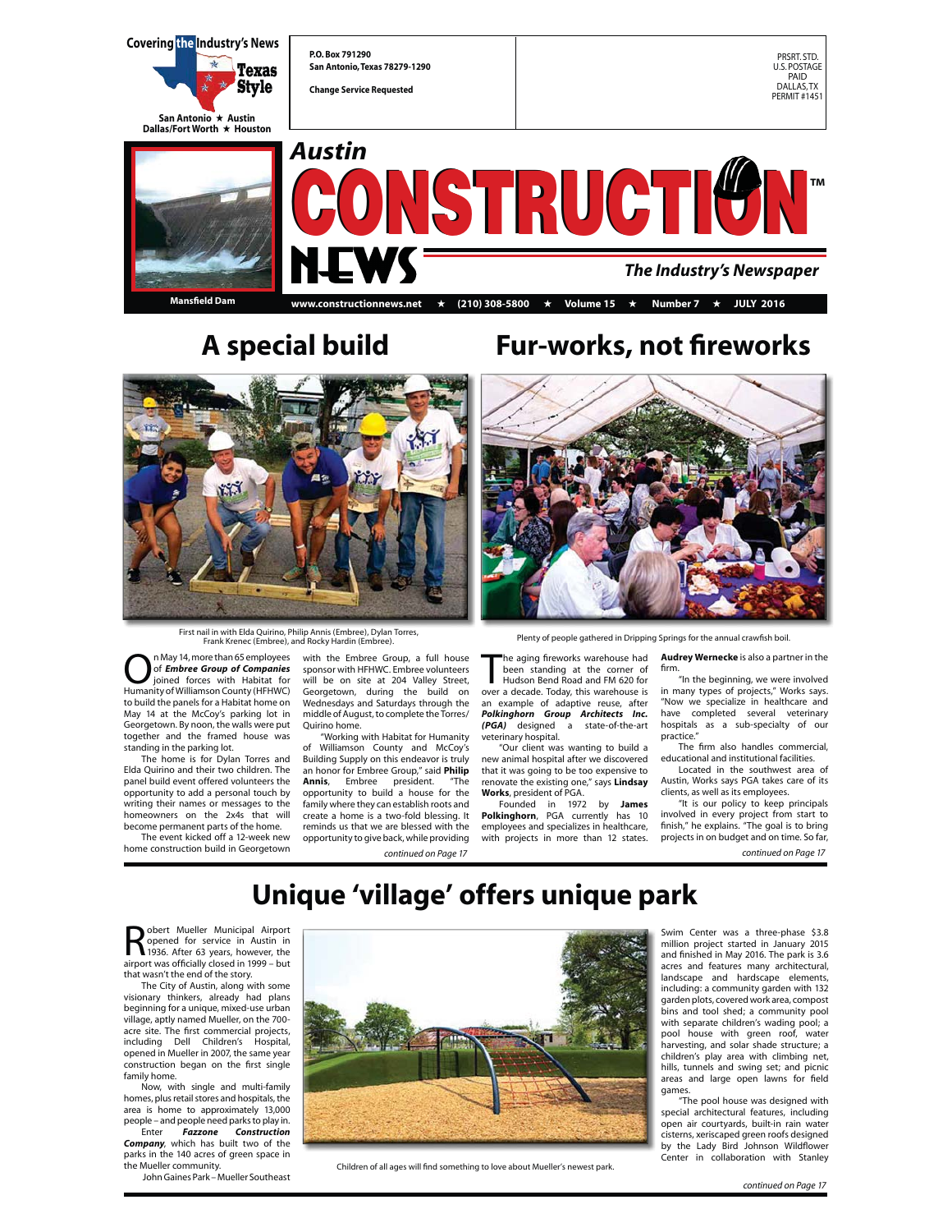

**Mansfield Dam**

### **www.constructionnews.net** + **(210) 308-5800** + **Volume 15** + **Number 7** + **JULY 2016**



First nail in with Elda Quirino, Philip Annis (Embree), Dylan Torres, Frank Krenec (Embree), and Rocky Hardin (Embree).

 $\bigodot$  n May 14, more than 65 employees<br>of **Embree Group of Companies**<br>Humanity of Williamson County (HEHWC) of *Embree Group of Companies* joined forces with Habitat for Humanity of Williamson County (HFHWC) to build the panels for a Habitat home on May 14 at the McCoy's parking lot in Georgetown. By noon, the walls were put together and the framed house was standing in the parking lot.

 The home is for Dylan Torres and Elda Quirino and their two children. The panel build event offered volunteers the opportunity to add a personal touch by writing their names or messages to the homeowners on the 2x4s that will become permanent parts of the home.

 The event kicked off a 12-week new home construction build in Georgetown

with the Embree Group, a full house sponsor with HFHWC. Embree volunteers will be on site at 204 Valley Street, Georgetown, during the build on Wednesdays and Saturdays through the middle of August, to complete the Torres/ Quirino home.

"Working with Habitat for Humanity of Williamson County and McCoy's Building Supply on this endeavor is truly an honor for Embree Group," said **Philip Annis**, Embree president. "The opportunity to build a house for the family where they can establish roots and create a home is a two-fold blessing. It reminds us that we are blessed with the opportunity to give back, while providing

## **A special build Fur-works, not fireworks**



Plenty of people gathered in Dripping Springs for the annual crawfish boil.

The aging fireworks warehouse had<br>been standing at the corner of<br>Hudson Bend Road and FM 620 for<br>over a decade. Today, this warehouse is he aging fireworks warehouse had been standing at the corner of Hudson Bend Road and FM 620 for an example of adaptive reuse, after *Polkinghorn Group Architects Inc. (PGA)* designed a state-of-the-art veterinary hospital.

 "Our client was wanting to build a new animal hospital after we discovered that it was going to be too expensive to renovate the existing one," says **Lindsay Works**, president of PGA.

 Founded in 1972 by **James Polkinghorn**, PGA currently has 10 employees and specializes in healthcare, with projects in more than 12 states.

**Audrey Wernecke** is also a partner in the firm.

.<br>"In the beginning, we were involved in many types of projects," Works says. "Now we specialize in healthcare and have completed several veterinary hospitals as a sub-specialty of our practice."

 The firm also handles commercial, educational and institutional facilities. Located in the southwest area of

Austin, Works says PGA takes care of its clients, as well as its employees.

"It is our policy to keep principals involved in every project from start to finish," he explains. "The goal is to bring projects in on budget and on time. So far,

*continued on Page 17 continued on Page 17*

# **Unique 'village' offers unique park**

**Robert Mueller Municipal Airport**<br>
1936. After 63 years, however, the<br> **1936.** After 63 years, however, the<br> **1999** – but obert Mueller Municipal Airport<br>opened for service in Austin in airport was officially closed in 1999 – but that wasn't the end of the story.

 The City of Austin, along with some visionary thinkers, already had plans beginning for a unique, mixed-use urban village, aptly named Mueller, on the 700 acre site. The first commercial projects, including Dell Children's Hospital, opened in Mueller in 2007, the same year construction began on the first single family home.

 Now, with single and multi-family homes, plus retail stores and hospitals, the area is home to approximately 13,000 people – and people need parks to play in. Enter *Fazzone Construction* 

*Company*, which has built two of the parks in the 140 acres of green space in the Mueller community.

John Gaines Park – Mueller Southeast



Children of all ages will find something to love about Mueller's newest park.

Swim Center was a three-phase \$3.8 million project started in January 2015 and finished in May 2016. The park is 3.6 acres and features many architectural, landscape and hardscape elements, including: a community garden with 132 garden plots, covered work area, compost bins and tool shed; a community pool with separate children's wading pool; a pool house with green roof, water harvesting, and solar shade structure; a children's play area with climbing net, hills, tunnels and swing set; and picnic areas and large open lawns for field games.

 "The pool house was designed with special architectural features, including open air courtyards, built-in rain water cisterns, xeriscaped green roofs designed by the Lady Bird Johnson Wildflower Center in collaboration with Stanley